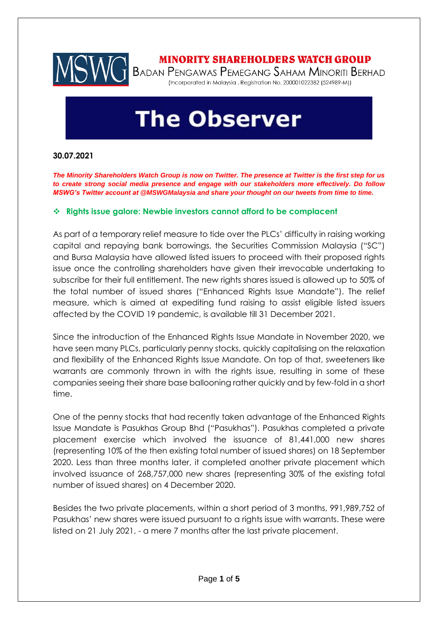

# **MINORITY SHAREHOLDERS WATCH GROUP**

MINORITY SHAREHOLDERS WATCH GROUP<br>BADAN PENGAWAS PEMEGANG SAHAM MINORITI BERHAD (Incorporated in Malaysia . Registration No. 200001022382 (524989-M))

# **The Observer**

### **30.07.2021**

*The Minority Shareholders Watch Group is now on Twitter. The presence at Twitter is the first step for us to create strong social media presence and engage with our stakeholders more effectively. Do follow MSWG's Twitter account at @MSWGMalaysia and share your thought on our tweets from time to time.*

### ❖ **Rights issue galore: Newbie investors cannot afford to be complacent**

As part of a temporary relief measure to tide over the PLCs' difficulty in raising working capital and repaying bank borrowings, the Securities Commission Malaysia ("SC") and Bursa Malaysia have allowed listed issuers to proceed with their proposed rights issue once the controlling shareholders have given their irrevocable undertaking to subscribe for their full entitlement. The new rights shares issued is allowed up to 50% of the total number of issued shares ("Enhanced Rights Issue Mandate"). The relief measure, which is aimed at expediting fund raising to assist eligible listed issuers affected by the COVID 19 pandemic, is available till 31 December 2021.

Since the introduction of the Enhanced Rights Issue Mandate in November 2020, we have seen many PLCs, particularly penny stocks, quickly capitalising on the relaxation and flexibility of the Enhanced Rights Issue Mandate. On top of that, sweeteners like warrants are commonly thrown in with the rights issue, resulting in some of these companies seeing their share base ballooning rather quickly and by few-fold in a short time.

One of the penny stocks that had recently taken advantage of the Enhanced Rights Issue Mandate is Pasukhas Group Bhd ("Pasukhas"). Pasukhas completed a private placement exercise which involved the issuance of 81,441,000 new shares (representing 10% of the then existing total number of issued shares) on 18 September 2020. Less than three months later, it completed another private placement which involved issuance of 268,757,000 new shares (representing 30% of the existing total number of issued shares) on 4 December 2020.

Besides the two private placements, within a short period of 3 months, 991,989,752 of Pasukhas' new shares were issued pursuant to a rights issue with warrants. These were listed on 21 July 2021, - a mere 7 months after the last private placement.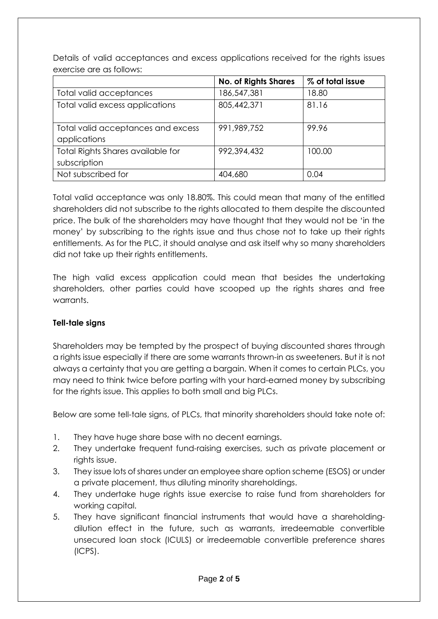**No. of Rights Shares % of total issue** Total valid acceptances 186,547,381 18.80 Total valid excess applications  $|805,442,371|$  81.16 Total valid acceptances and excess applications 991,989,752 99.96 Total Rights Shares available for subscription 992,394,432 | 100.00 Not subscribed for  $\vert$  404,680  $\vert$  0.04

Details of valid acceptances and excess applications received for the rights issues exercise are as follows:

Total valid acceptance was only 18.80%. This could mean that many of the entitled shareholders did not subscribe to the rights allocated to them despite the discounted price. The bulk of the shareholders may have thought that they would not be 'in the money' by subscribing to the rights issue and thus chose not to take up their rights entitlements. As for the PLC, it should analyse and ask itself why so many shareholders did not take up their rights entitlements.

The high valid excess application could mean that besides the undertaking shareholders, other parties could have scooped up the rights shares and free warrants.

## **Tell-tale signs**

Shareholders may be tempted by the prospect of buying discounted shares through a rights issue especially if there are some warrants thrown-in as sweeteners. But it is not always a certainty that you are getting a bargain. When it comes to certain PLCs, you may need to think twice before parting with your hard-earned money by subscribing for the rights issue. This applies to both small and big PLCs.

Below are some tell-tale signs, of PLCs, that minority shareholders should take note of:

- 1. They have huge share base with no decent earnings.
- 2. They undertake frequent fund-raising exercises, such as private placement or rights issue.
- 3. They issue lots of shares under an employee share option scheme (ESOS) or under a private placement, thus diluting minority shareholdings.
- 4. They undertake huge rights issue exercise to raise fund from shareholders for working capital.
- 5. They have significant financial instruments that would have a shareholdingdilution effect in the future, such as warrants, irredeemable convertible unsecured loan stock (ICULS) or irredeemable convertible preference shares (ICPS).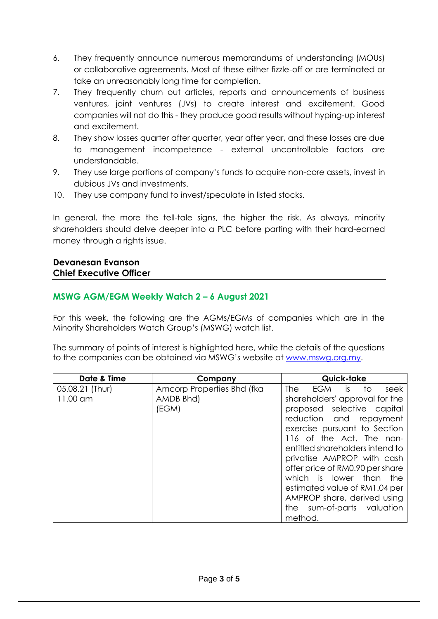- 6. They frequently announce numerous memorandums of understanding (MOUs) or collaborative agreements. Most of these either fizzle-off or are terminated or take an unreasonably long time for completion.
- 7. They frequently churn out articles, reports and announcements of business ventures, joint ventures (JVs) to create interest and excitement. Good companies will not do this - they produce good results without hyping-up interest and excitement.
- 8. They show losses quarter after quarter, year after year, and these losses are due to management incompetence - external uncontrollable factors are understandable.
- 9. They use large portions of company's funds to acquire non-core assets, invest in dubious JVs and investments.
- 10. They use company fund to invest/speculate in listed stocks.

In general, the more the tell-tale signs, the higher the risk. As always, minority shareholders should delve deeper into a PLC before parting with their hard-earned money through a rights issue.

## **Devanesan Evanson Chief Executive Officer**

## **MSWG AGM/EGM Weekly Watch 2 – 6 August 2021**

For this week, the following are the AGMs/EGMs of companies which are in the Minority Shareholders Watch Group's (MSWG) watch list.

The summary of points of interest is highlighted here, while the details of the questions to the companies can be obtained via MSWG's website at [www.mswg.org.my.](http://www.mswg.org.my/)

| Date & Time     | Company                    | Quick-take                         |
|-----------------|----------------------------|------------------------------------|
| 05.08.21 (Thur) | Amcorp Properties Bhd (fka | EGM is<br>to<br><b>The</b><br>seek |
| 11.00 am        | AMDB Bhd)                  | shareholders' approval for the     |
|                 | (EGM)                      | proposed selective capital         |
|                 |                            | reduction and repayment            |
|                 |                            | exercise pursuant to Section       |
|                 |                            | 116 of the Act. The non-           |
|                 |                            | entitled shareholders intend to    |
|                 |                            | privatise AMPROP with cash         |
|                 |                            | offer price of RM0.90 per share    |
|                 |                            | which is lower than<br>the         |
|                 |                            | estimated value of RM1.04 per      |
|                 |                            | AMPROP share, derived using        |
|                 |                            | the sum-of-parts valuation         |
|                 |                            | method.                            |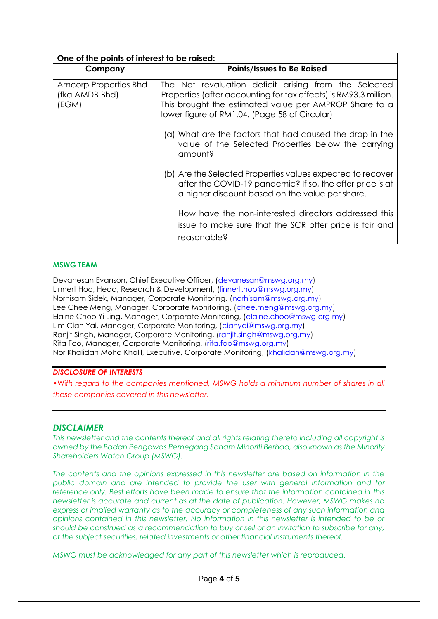| One of the points of interest to be raised:      |                                                                                                                                                                                                                                      |  |
|--------------------------------------------------|--------------------------------------------------------------------------------------------------------------------------------------------------------------------------------------------------------------------------------------|--|
| Company                                          | <b>Points/Issues to Be Raised</b>                                                                                                                                                                                                    |  |
| Amcorp Properties Bhd<br>(fka AMDB Bhd)<br>(EGM) | The Net revaluation deficit arising from the Selected<br>Properties (after accounting for tax effects) is RM93.3 million.<br>This brought the estimated value per AMPROP Share to a<br>lower figure of RM1.04. (Page 58 of Circular) |  |
|                                                  | (a) What are the factors that had caused the drop in the<br>value of the Selected Properties below the carrying<br>amount?                                                                                                           |  |
|                                                  | (b) Are the Selected Properties values expected to recover<br>after the COVID-19 pandemic? If so, the offer price is at<br>a higher discount based on the value per share.                                                           |  |
|                                                  | How have the non-interested directors addressed this<br>issue to make sure that the SCR offer price is fair and<br>reasonable?                                                                                                       |  |

#### **MSWG TEAM**

Devanesan Evanson, Chief Executive Officer, [\(devanesan@mswg.org.my\)](mailto:devanesan@mswg.org.my) Linnert Hoo, Head, Research & Development, [\(linnert.hoo@mswg.org.my\)](mailto:linnert.hoo@mswg.org.my) Norhisam Sidek, Manager, Corporate Monitoring, [\(norhisam@mswg.org.my\)](mailto:norhisam@mswg.org.my) Lee Chee Meng, Manager, Corporate Monitoring, [\(chee.meng@mswg.org.my\)](mailto:chee.meng@mswg.org.my) Elaine Choo Yi Ling, Manager, Corporate Monitoring, [\(elaine.choo@mswg.org.my\)](mailto:elaine.choo@mswg.org.my) Lim Cian Yai, Manager, Corporate Monitoring, [\(cianyai@mswg.org.my\)](mailto:cianyai@mswg.org.my) Ranjit Singh, Manager, Corporate Monitoring, [\(ranjit.singh@mswg.org.my\)](mailto:ranjit.singh@mswg.org.my) Rita Foo, Manager, Corporate Monitoring, [\(rita.foo@mswg.org.my\)](mailto:rita.foo@mswg.org.my) Nor Khalidah Mohd Khalil, Executive, Corporate Monitoring, [\(khalidah@mswg.org.my\)](mailto:khalidah@mswg.org.my)

#### *DISCLOSURE OF INTERESTS*

•Wi*th regard to the companies mentioned, MSWG holds a minimum number of shares in all these companies covered in this newsletter.* 

#### *DISCLAIMER*

*This newsletter and the contents thereof and all rights relating thereto including all copyright is owned by the Badan Pengawas Pemegang Saham Minoriti Berhad, also known as the Minority Shareholders Watch Group (MSWG).* 

*The contents and the opinions expressed in this newsletter are based on information in the public domain and are intended to provide the user with general information and for reference only. Best efforts have been made to ensure that the information contained in this newsletter is accurate and current as at the date of publication. However, MSWG makes no express or implied warranty as to the accuracy or completeness of any such information and opinions contained in this newsletter. No information in this newsletter is intended to be or should be construed as a recommendation to buy or sell or an invitation to subscribe for any, of the subject securities, related investments or other financial instruments thereof.*

*MSWG must be acknowledged for any part of this newsletter which is reproduced.*